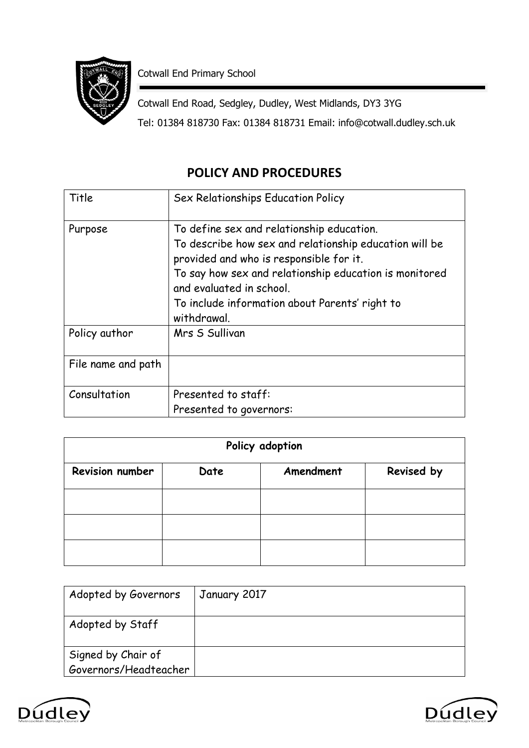

Cotwall End Primary School

Cotwall End Road, Sedgley, Dudley, West Midlands, DY3 3YG Tel: 01384 818730 Fax: 01384 818731 Email: info@cotwall.dudley.sch.uk

# **POLICY AND PROCEDURES**

| Title              | Sex Relationships Education Policy                                                                                                                                                                                                                                                                    |
|--------------------|-------------------------------------------------------------------------------------------------------------------------------------------------------------------------------------------------------------------------------------------------------------------------------------------------------|
| Purpose            | To define sex and relationship education.<br>To describe how sex and relationship education will be<br>provided and who is responsible for it.<br>To say how sex and relationship education is monitored<br>and evaluated in school.<br>To include information about Parents' right to<br>withdrawal. |
| Policy author      | Mrs S Sullivan                                                                                                                                                                                                                                                                                        |
| File name and path |                                                                                                                                                                                                                                                                                                       |
| Consultation       | Presented to staff:<br>Presented to governors:                                                                                                                                                                                                                                                        |

| Policy adoption        |      |           |            |  |
|------------------------|------|-----------|------------|--|
| <b>Revision number</b> | Date | Amendment | Revised by |  |
|                        |      |           |            |  |
|                        |      |           |            |  |
|                        |      |           |            |  |

| Adopted by Governors  | January 2017 |
|-----------------------|--------------|
| Adopted by Staff      |              |
| Signed by Chair of    |              |
| Governors/Headteacher |              |



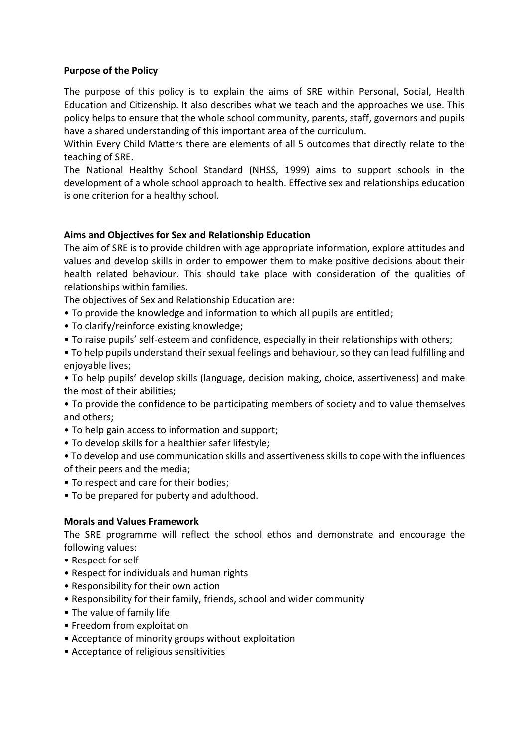#### **Purpose of the Policy**

The purpose of this policy is to explain the aims of SRE within Personal, Social, Health Education and Citizenship. It also describes what we teach and the approaches we use. This policy helps to ensure that the whole school community, parents, staff, governors and pupils have a shared understanding of this important area of the curriculum.

Within Every Child Matters there are elements of all 5 outcomes that directly relate to the teaching of SRE.

The National Healthy School Standard (NHSS, 1999) aims to support schools in the development of a whole school approach to health. Effective sex and relationships education is one criterion for a healthy school.

#### **Aims and Objectives for Sex and Relationship Education**

The aim of SRE is to provide children with age appropriate information, explore attitudes and values and develop skills in order to empower them to make positive decisions about their health related behaviour. This should take place with consideration of the qualities of relationships within families.

The objectives of Sex and Relationship Education are:

- To provide the knowledge and information to which all pupils are entitled;
- To clarify/reinforce existing knowledge;
- To raise pupils' self-esteem and confidence, especially in their relationships with others;

• To help pupils understand their sexual feelings and behaviour, so they can lead fulfilling and enjoyable lives:

• To help pupils' develop skills (language, decision making, choice, assertiveness) and make the most of their abilities;

• To provide the confidence to be participating members of society and to value themselves and others;

- To help gain access to information and support;
- To develop skills for a healthier safer lifestyle;

• To develop and use communication skills and assertiveness skills to cope with the influences of their peers and the media;

- To respect and care for their bodies;
- To be prepared for puberty and adulthood.

#### **Morals and Values Framework**

The SRE programme will reflect the school ethos and demonstrate and encourage the following values:

- Respect for self
- Respect for individuals and human rights
- Responsibility for their own action
- Responsibility for their family, friends, school and wider community
- The value of family life
- Freedom from exploitation
- Acceptance of minority groups without exploitation
- Acceptance of religious sensitivities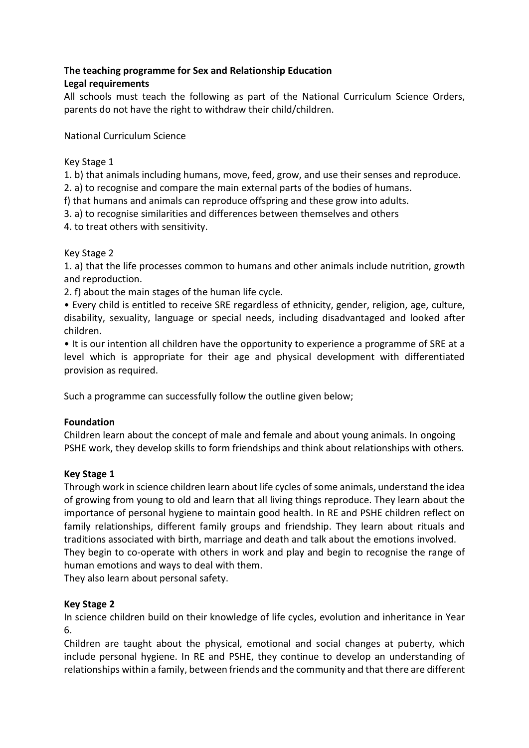# **The teaching programme for Sex and Relationship Education**

## **Legal requirements**

All schools must teach the following as part of the National Curriculum Science Orders, parents do not have the right to withdraw their child/children.

National Curriculum Science

#### Key Stage 1

1. b) that animals including humans, move, feed, grow, and use their senses and reproduce.

2. a) to recognise and compare the main external parts of the bodies of humans.

- f) that humans and animals can reproduce offspring and these grow into adults.
- 3. a) to recognise similarities and differences between themselves and others

4. to treat others with sensitivity.

#### Key Stage 2

1. a) that the life processes common to humans and other animals include nutrition, growth and reproduction.

2. f) about the main stages of the human life cycle.

• Every child is entitled to receive SRE regardless of ethnicity, gender, religion, age, culture, disability, sexuality, language or special needs, including disadvantaged and looked after children.

• It is our intention all children have the opportunity to experience a programme of SRE at a level which is appropriate for their age and physical development with differentiated provision as required.

Such a programme can successfully follow the outline given below;

#### **Foundation**

Children learn about the concept of male and female and about young animals. In ongoing PSHE work, they develop skills to form friendships and think about relationships with others.

#### **Key Stage 1**

Through work in science children learn about life cycles of some animals, understand the idea of growing from young to old and learn that all living things reproduce. They learn about the importance of personal hygiene to maintain good health. In RE and PSHE children reflect on family relationships, different family groups and friendship. They learn about rituals and traditions associated with birth, marriage and death and talk about the emotions involved. They begin to co-operate with others in work and play and begin to recognise the range of human emotions and ways to deal with them.

They also learn about personal safety.

#### **Key Stage 2**

In science children build on their knowledge of life cycles, evolution and inheritance in Year 6.

Children are taught about the physical, emotional and social changes at puberty, which include personal hygiene. In RE and PSHE, they continue to develop an understanding of relationships within a family, between friends and the community and that there are different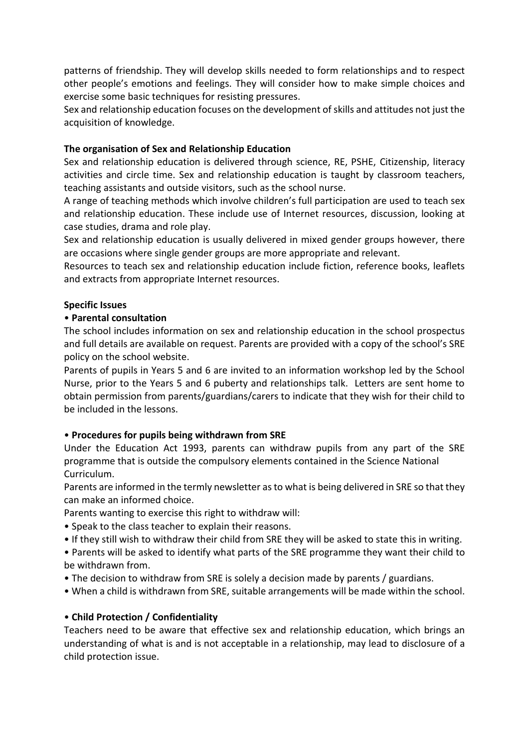patterns of friendship. They will develop skills needed to form relationships and to respect other people's emotions and feelings. They will consider how to make simple choices and exercise some basic techniques for resisting pressures.

Sex and relationship education focuses on the development of skills and attitudes not just the acquisition of knowledge.

#### **The organisation of Sex and Relationship Education**

Sex and relationship education is delivered through science, RE, PSHE, Citizenship, literacy activities and circle time. Sex and relationship education is taught by classroom teachers, teaching assistants and outside visitors, such as the school nurse.

A range of teaching methods which involve children's full participation are used to teach sex and relationship education. These include use of Internet resources, discussion, looking at case studies, drama and role play.

Sex and relationship education is usually delivered in mixed gender groups however, there are occasions where single gender groups are more appropriate and relevant.

Resources to teach sex and relationship education include fiction, reference books, leaflets and extracts from appropriate Internet resources.

#### **Specific Issues**

#### • **Parental consultation**

The school includes information on sex and relationship education in the school prospectus and full details are available on request. Parents are provided with a copy of the school's SRE policy on the school website.

Parents of pupils in Years 5 and 6 are invited to an information workshop led by the School Nurse, prior to the Years 5 and 6 puberty and relationships talk. Letters are sent home to obtain permission from parents/guardians/carers to indicate that they wish for their child to be included in the lessons.

#### • **Procedures for pupils being withdrawn from SRE**

Under the Education Act 1993, parents can withdraw pupils from any part of the SRE programme that is outside the compulsory elements contained in the Science National Curriculum.

Parents are informed in the termly newsletter as to what is being delivered in SRE so that they can make an informed choice.

Parents wanting to exercise this right to withdraw will:

- Speak to the class teacher to explain their reasons.
- If they still wish to withdraw their child from SRE they will be asked to state this in writing.
- Parents will be asked to identify what parts of the SRE programme they want their child to be withdrawn from.
- The decision to withdraw from SRE is solely a decision made by parents / guardians.
- When a child is withdrawn from SRE, suitable arrangements will be made within the school.

#### • **Child Protection / Confidentiality**

Teachers need to be aware that effective sex and relationship education, which brings an understanding of what is and is not acceptable in a relationship, may lead to disclosure of a child protection issue.